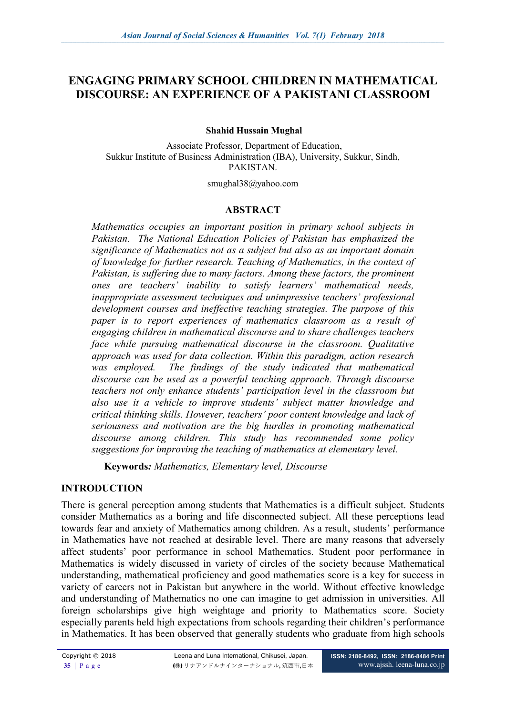# **ENGAGING PRIMARY SCHOOL CHILDREN IN MATHEMATICAL DISCOURSE: AN EXPERIENCE OF A PAKISTANI CLASSROOM**

**Shahid Hussain Mughal** 

Associate Professor, Department of Education, Sukkur Institute of Business Administration (IBA), University, Sukkur, Sindh, PAKISTAN.

smughal38@yahoo.com

#### **ABSTRACT**

*Mathematics occupies an important position in primary school subjects in Pakistan. The National Education Policies of Pakistan has emphasized the significance of Mathematics not as a subject but also as an important domain of knowledge for further research. Teaching of Mathematics, in the context of Pakistan, is suffering due to many factors. Among these factors, the prominent ones are teachers' inability to satisfy learners' mathematical needs, inappropriate assessment techniques and unimpressive teachers' professional development courses and ineffective teaching strategies. The purpose of this paper is to report experiences of mathematics classroom as a result of engaging children in mathematical discourse and to share challenges teachers face while pursuing mathematical discourse in the classroom. Qualitative approach was used for data collection. Within this paradigm, action research*  was employed. The findings of the study indicated that mathematical *discourse can be used as a powerful teaching approach. Through discourse teachers not only enhance students' participation level in the classroom but also use it a vehicle to improve students' subject matter knowledge and critical thinking skills. However, teachers' poor content knowledge and lack of seriousness and motivation are the big hurdles in promoting mathematical discourse among children. This study has recommended some policy suggestions for improving the teaching of mathematics at elementary level.*

**Keywords***: Mathematics, Elementary level, Discourse* 

#### **INTRODUCTION**

There is general perception among students that Mathematics is a difficult subject. Students consider Mathematics as a boring and life disconnected subject. All these perceptions lead towards fear and anxiety of Mathematics among children. As a result, students' performance in Mathematics have not reached at desirable level. There are many reasons that adversely affect students' poor performance in school Mathematics. Student poor performance in Mathematics is widely discussed in variety of circles of the society because Mathematical understanding, mathematical proficiency and good mathematics score is a key for success in variety of careers not in Pakistan but anywhere in the world. Without effective knowledge and understanding of Mathematics no one can imagine to get admission in universities. All foreign scholarships give high weightage and priority to Mathematics score. Society especially parents held high expectations from schools regarding their children's performance in Mathematics. It has been observed that generally students who graduate from high schools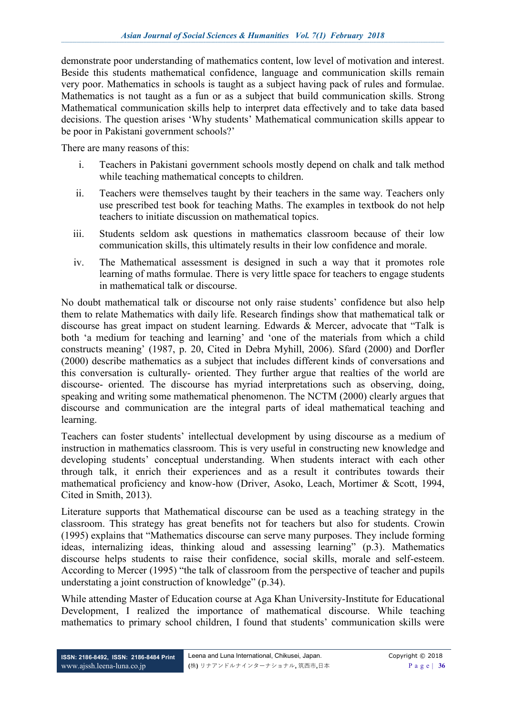demonstrate poor understanding of mathematics content, low level of motivation and interest. Beside this students mathematical confidence, language and communication skills remain very poor. Mathematics in schools is taught as a subject having pack of rules and formulae. Mathematics is not taught as a fun or as a subject that build communication skills. Strong Mathematical communication skills help to interpret data effectively and to take data based decisions. The question arises 'Why students' Mathematical communication skills appear to be poor in Pakistani government schools?'

There are many reasons of this:

- i. Teachers in Pakistani government schools mostly depend on chalk and talk method while teaching mathematical concepts to children.
- ii. Teachers were themselves taught by their teachers in the same way. Teachers only use prescribed test book for teaching Maths. The examples in textbook do not help teachers to initiate discussion on mathematical topics.
- iii. Students seldom ask questions in mathematics classroom because of their low communication skills, this ultimately results in their low confidence and morale.
- iv. The Mathematical assessment is designed in such a way that it promotes role learning of maths formulae. There is very little space for teachers to engage students in mathematical talk or discourse.

No doubt mathematical talk or discourse not only raise students' confidence but also help them to relate Mathematics with daily life. Research findings show that mathematical talk or discourse has great impact on student learning. Edwards & Mercer, advocate that "Talk is both 'a medium for teaching and learning' and 'one of the materials from which a child constructs meaning' (1987, p. 20, Cited in Debra Myhill, 2006). Sfard (2000) and Dorfler (2000) describe mathematics as a subject that includes different kinds of conversations and this conversation is culturally- oriented. They further argue that realties of the world are discourse- oriented. The discourse has myriad interpretations such as observing, doing, speaking and writing some mathematical phenomenon. The NCTM (2000) clearly argues that discourse and communication are the integral parts of ideal mathematical teaching and learning.

Teachers can foster students' intellectual development by using discourse as a medium of instruction in mathematics classroom. This is very useful in constructing new knowledge and developing students' conceptual understanding. When students interact with each other through talk, it enrich their experiences and as a result it contributes towards their mathematical proficiency and know-how (Driver, Asoko, Leach, Mortimer & Scott, 1994, Cited in Smith, 2013).

Literature supports that Mathematical discourse can be used as a teaching strategy in the classroom. This strategy has great benefits not for teachers but also for students. Crowin (1995) explains that "Mathematics discourse can serve many purposes. They include forming ideas, internalizing ideas, thinking aloud and assessing learning" (p.3). Mathematics discourse helps students to raise their confidence, social skills, morale and self-esteem. According to Mercer (1995) "the talk of classroom from the perspective of teacher and pupils understating a joint construction of knowledge" (p.34).

While attending Master of Education course at Aga Khan University-Institute for Educational Development, I realized the importance of mathematical discourse. While teaching mathematics to primary school children, I found that students' communication skills were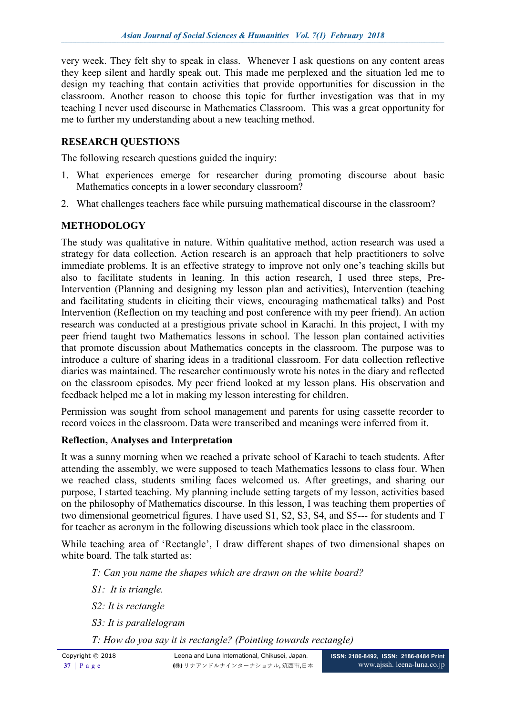very week. They felt shy to speak in class. Whenever I ask questions on any content areas they keep silent and hardly speak out. This made me perplexed and the situation led me to design my teaching that contain activities that provide opportunities for discussion in the classroom. Another reason to choose this topic for further investigation was that in my teaching I never used discourse in Mathematics Classroom. This was a great opportunity for me to further my understanding about a new teaching method.

# **RESEARCH QUESTIONS**

The following research questions guided the inquiry:

- 1. What experiences emerge for researcher during promoting discourse about basic Mathematics concepts in a lower secondary classroom?
- 2. What challenges teachers face while pursuing mathematical discourse in the classroom?

### **METHODOLOGY**

The study was qualitative in nature. Within qualitative method, action research was used a strategy for data collection. Action research is an approach that help practitioners to solve immediate problems. It is an effective strategy to improve not only one's teaching skills but also to facilitate students in leaning. In this action research, I used three steps, Pre-Intervention (Planning and designing my lesson plan and activities), Intervention (teaching and facilitating students in eliciting their views, encouraging mathematical talks) and Post Intervention (Reflection on my teaching and post conference with my peer friend). An action research was conducted at a prestigious private school in Karachi. In this project, I with my peer friend taught two Mathematics lessons in school. The lesson plan contained activities that promote discussion about Mathematics concepts in the classroom. The purpose was to introduce a culture of sharing ideas in a traditional classroom. For data collection reflective diaries was maintained. The researcher continuously wrote his notes in the diary and reflected on the classroom episodes. My peer friend looked at my lesson plans. His observation and feedback helped me a lot in making my lesson interesting for children.

Permission was sought from school management and parents for using cassette recorder to record voices in the classroom. Data were transcribed and meanings were inferred from it.

### **Reflection, Analyses and Interpretation**

It was a sunny morning when we reached a private school of Karachi to teach students. After attending the assembly, we were supposed to teach Mathematics lessons to class four. When we reached class, students smiling faces welcomed us. After greetings, and sharing our purpose, I started teaching. My planning include setting targets of my lesson, activities based on the philosophy of Mathematics discourse. In this lesson, I was teaching them properties of two dimensional geometrical figures. I have used S1, S2, S3, S4, and S5--- for students and T for teacher as acronym in the following discussions which took place in the classroom.

While teaching area of 'Rectangle', I draw different shapes of two dimensional shapes on white board. The talk started as:

*T: Can you name the shapes which are drawn on the white board?*

- *S1: It is triangle.*
- *S2: It is rectangle*
- *S3: It is parallelogram*
- *T: How do you say it is rectangle? (Pointing towards rectangle)*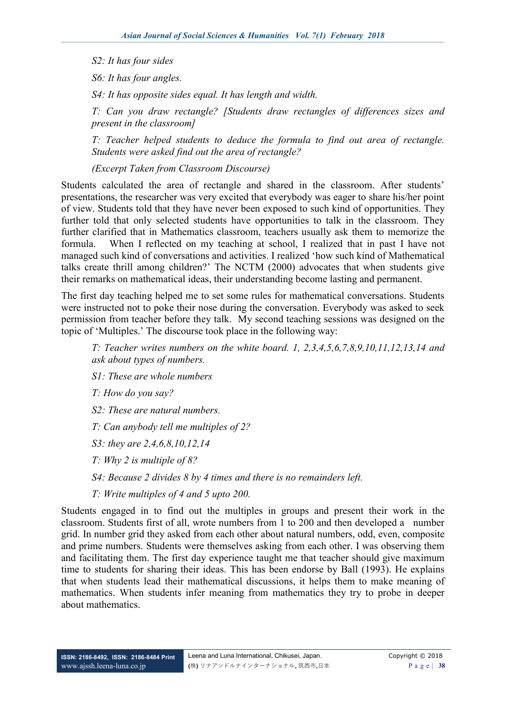*S2: It has four sides*

*S6: It has four angles.*

*S4: It has opposite sides equal. It has length and width.* 

*T: Can you draw rectangle? [Students draw rectangles of differences sizes and present in the classroom]*

*T: Teacher helped students to deduce the formula to find out area of rectangle. Students were asked find out the area of rectangle?*

*(Excerpt Taken from Classroom Discourse)*

Students calculated the area of rectangle and shared in the classroom. After students' presentations, the researcher was very excited that everybody was eager to share his/her point of view. Students told that they have never been exposed to such kind of opportunities. They further told that only selected students have opportunities to talk in the classroom. They further clarified that in Mathematics classroom, teachers usually ask them to memorize the formula. When I reflected on my teaching at school, I realized that in past I have not managed such kind of conversations and activities. I realized 'how such kind of Mathematical talks create thrill among children?' The NCTM (2000) advocates that when students give their remarks on mathematical ideas, their understanding become lasting and permanent.

The first day teaching helped me to set some rules for mathematical conversations. Students were instructed not to poke their nose during the conversation. Everybody was asked to seek permission from teacher before they talk. My second teaching sessions was designed on the topic of 'Multiples.' The discourse took place in the following way:

*T: Teacher writes numbers on the white board. 1, 2,3,4,5,6,7,8,9,10,11,12,13,14 and ask about types of numbers.*

*S1: These are whole numbers*

*T: How do you say?*

*S2: These are natural numbers.*

*T: Can anybody tell me multiples of 2?*

*S3: they are 2,4,6,8,10,12,14*

*T: Why 2 is multiple of 8?*

*S4: Because 2 divides 8 by 4 times and there is no remainders left.*

*T: Write multiples of 4 and 5 upto 200.*

Students engaged in to find out the multiples in groups and present their work in the classroom. Students first of all, wrote numbers from 1 to 200 and then developed a number grid. In number grid they asked from each other about natural numbers, odd, even, composite and prime numbers. Students were themselves asking from each other. I was observing them and facilitating them. The first day experience taught me that teacher should give maximum time to students for sharing their ideas. This has been endorse by Ball (1993). He explains that when students lead their mathematical discussions, it helps them to make meaning of mathematics. When students infer meaning from mathematics they try to probe in deeper about mathematics.